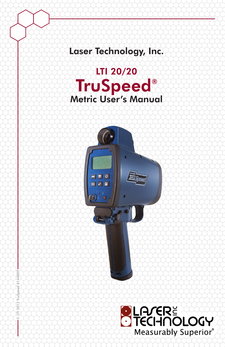## Laser Technology, Inc.





© LTI 2013 TruSpeed 0144809

 $\overline{5}$ Ē

5 g

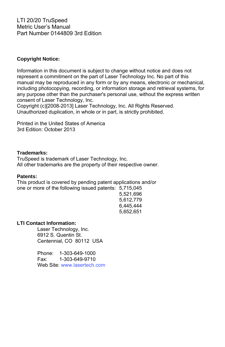LTI 20/20 TruSpeed Metric User's Manual Part Number 0144809 3rd Edition

#### **Copyright Notice:**

Information in this document is subject to change without notice and does not represent a commitment on the part of Laser Technology Inc. No part of this manual may be reproduced in any form or by any means, electronic or mechanical, including photocopying, recording, or information storage and retrieval systems, for any purpose other than the purchaser's personal use, without the express written consent of Laser Technology, Inc.

Copyright (c)[2008-2013] Laser Technology, Inc. All Rights Reserved. Unauthorized duplication, in whole or in part, is strictly prohibited.

Printed in the United States of America 3rd Edition: October 2013

#### **Trademarks:**

TruSpeed is trademark of Laser Technology, Inc. All other trademarks are the property of their respective owner.

#### **Patents:**

This product is covered by pending patent applications and/or one or more of the following issued patents: 5,715,045

 5,521,696 5,612,779 6,445,444 5,652,651

#### **LTI Contact Information:**

 Laser Technology, Inc. 6912 S. Quentin St. Centennial, CO 80112 USA

 Phone: 1-303-649-1000 Fax: 1-303-649-9710 Web Site: [www.lasertech.com](http://www.lasertech.com/)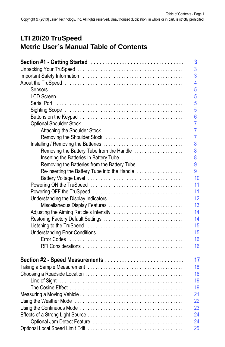### **LTI 20/20 TruSpeed Metric User's Manual Table of Contents**

|                                               | 3              |
|-----------------------------------------------|----------------|
|                                               | 3              |
|                                               | 3              |
|                                               | 4              |
|                                               | 5              |
|                                               | 5              |
|                                               | 5              |
|                                               | 5              |
|                                               | $6\phantom{a}$ |
|                                               | $\overline{7}$ |
|                                               | $\overline{7}$ |
| Removing the Shoulder Stock                   | $\overline{7}$ |
|                                               | 8              |
| Removing the Battery Tube from the Handle     | 8              |
| Inserting the Batteries in Battery Tube       | 8              |
| Removing the Batteries from the Battery Tube  | 9              |
| Re-inserting the Battery Tube into the Handle | 9              |
|                                               | 10             |
|                                               | 11             |
|                                               | 11             |
|                                               | 12             |
| Miscellaneous Display Features                | 13             |
| Adjusting the Aiming Reticle's Intensity      | 14             |
|                                               | 14             |
|                                               | 15             |
|                                               | 15             |
|                                               | 16             |
|                                               | 16             |
|                                               |                |
| Section #2 - Speed Measurements               | 17             |
|                                               | 18             |
|                                               | 18             |
|                                               | 19             |
|                                               | 19             |
|                                               | 21             |
|                                               | 22             |
|                                               | 23             |
|                                               | 24             |
|                                               | 24             |
|                                               | 25             |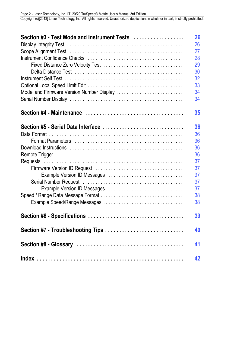| Section #3 - Test Mode and Instrument Tests | 26 |
|---------------------------------------------|----|
|                                             | 26 |
|                                             | 27 |
|                                             |    |
|                                             | 28 |
|                                             | 29 |
|                                             | 30 |
|                                             | 32 |
|                                             | 33 |
| Model and Firmware Version Number Display   | 34 |
|                                             | 34 |
|                                             |    |
|                                             | 35 |
| Section #5 - Serial Data Interface          | 36 |
|                                             | 36 |
|                                             | 36 |
|                                             | 36 |
|                                             | 36 |
|                                             | 37 |
|                                             | 37 |
| Example Version ID Messages                 | 37 |
|                                             | 37 |
|                                             |    |
| Example Version ID Messages                 | 37 |
|                                             | 38 |
| Example Speed/Range Messages                | 38 |
|                                             | 39 |
| Section #7 - Troubleshooting Tips           | 40 |
|                                             | 41 |
|                                             | 42 |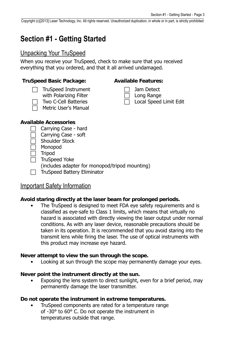## <span id="page-4-3"></span><span id="page-4-0"></span>**Section #1 - Getting Started**

### <span id="page-4-1"></span>Unpacking Your TruSpeed

When you receive your TruSpeed, check to make sure that you received everything that you ordered, and that it all arrived undamaged.

#### **TruSpeed Basic Package: Available Features:**

- TruSpeed Instrument
- with Polarizing Filter
- Two C-Cell Batteries Metric User's Manual



Local Speed Limit Edit

#### **Available Accessories**

- Carrying Case hard
- Carrying Case soft
- Shoulder Stock
- Monopod
- Tripod

 $\overline{\phantom{a}}$  TruSpeed Yoke

- (includes adapter for monopod/tripod mounting)
- $\Box$  TruSpeed Battery Eliminator

### <span id="page-4-2"></span>Important Safety Information

#### **Avoid staring directly at the laser beam for prolonged periods.**

• The TruSpeed is designed to meet FDA eye safety requirements and is classified as eye-safe to Class 1 limits, which means that virtually no hazard is associated with directly viewing the laser output under normal conditions. As with any laser device, reasonable precautions should be taken in its operation. It is recommended that you avoid staring into the transmit lens while firing the laser. The use of optical instruments with this product may increase eye hazard.

#### **Never attempt to view the sun through the scope.**

Looking at sun through the scope may permanently damage your eyes.

#### **Never point the instrument directly at the sun.**

Exposing the lens system to direct sunlight, even for a brief period, may permanently damage the laser transmitter.

#### **Do not operate the instrument in extreme temperatures.**

• TruSpeed components are rated for a temperature range of -30° to 60° C. Do not operate the instrument in temperatures outside that range.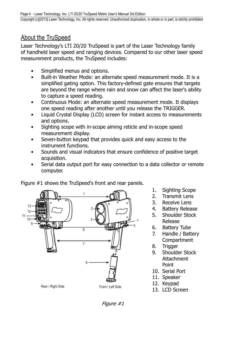### <span id="page-5-1"></span><span id="page-5-0"></span>About the TruSpeed

Laser Technology's LTI 20/20 TruSpeed is part of the Laser Technology family of handheld laser speed and ranging devices. Compared to our other laser speed measurement products, the TruSpeed includes:

- Simplified menus and options.
- Built-in Weather Mode: an alternate speed measurement mode. It is a simplified gating option. This factory-defined gate ensures that targets are beyond the range where rain and snow can affect the laser's ability to capture a speed reading.
- Continuous Mode: an alternate speed measurement mode. It displays one speed reading after another until you release the TRIGGER.
- Liquid Crystal Display (LCD) screen for instant access to measurements and options.
- Sighting scope with in-scope aiming reticle and in-scope speed measurement display.
- Seven-button keypad that provides quick and easy access to the instrument functions.
- Sounds and visual indicators that ensure confidence of positive target acquisition.
- Serial data output port for easy connection to a data collector or remote computer.



Figure #1 shows the TruSpeed's front and rear panels.

- 1. Sighting Scope
- 2. Transmit Lens
- 3. Receive Lens
- 4. Battery Release
- 5. Shoulder Stock Release
- 6. Battery Tube
- 7. Handle / Battery **Compartment**
- 8. Trigger
- 9. Shoulder Stock Attachment Point
- 10. Serial Port
- 11. Speaker
- 12. Keypad
- 13. LCD Screen

Figure #1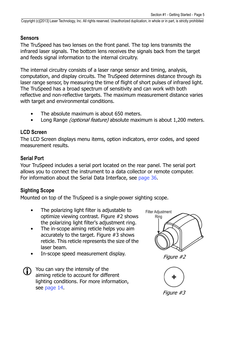### <span id="page-6-4"></span><span id="page-6-0"></span>**Sensors**

The TruSpeed has two lenses on the front panel. The top lens transmits the infrared laser signals. The bottom lens receives the signals back from the target and feeds signal information to the internal circuitry.

The internal circuitry consists of a laser range sensor and timing, analysis, computation, and display circuits. The TruSpeed determines distance through its laser range sensor, by measuring the time of flight of short pulses of infrared light. The TruSpeed has a broad spectrum of sensitivity and can work with both reflective and non-reflective targets. The maximum measurement distance varies with target and environmental conditions.

- The absolute maximum is about 650 meters.
- Long Range *(optional feature)* absolute maximum is about 1.200 meters.

### <span id="page-6-1"></span>**LCD Screen**

The LCD Screen displays menu items, option indicators, error codes, and speed measurement results.

### <span id="page-6-2"></span>**Serial Port**

Your TruSpeed includes a serial port located on the rear panel. The serial port allows you to connect the instrument to a data collector or remote computer. For information about the Serial Data Interface, see [page 36.](#page-38-5)

### <span id="page-6-3"></span>**Sighting Scope**

Mounted on top of the TruSpeed is a single-power sighting scope.

- The polarizing light filter is adjustable to optimize viewing contrast. Figure #2 shows the polarizing light filter's adjustment ring.
- The in-scope aiming reticle helps you aim accurately to the target. Figure #3 shows reticle. This reticle represents the size of the laser beam.
- In-scope speed measurement display.
- You can vary the intensity of the aiming reticle to account for different lighting conditions. For more information, see [page 14](#page-15-0).



Figure #2

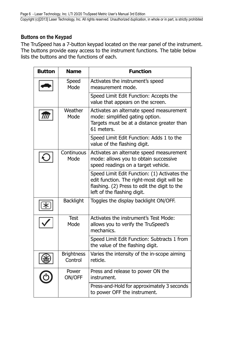### <span id="page-7-1"></span><span id="page-7-0"></span>**Buttons on the Keypad**

The TruSpeed has a 7-button keypad located on the rear panel of the instrument. The buttons provide easy access to the instrument functions. The table below lists the buttons and the functions of each.

| <b>Button</b> | <b>Name</b>                                                         | <b>Function</b>                                                                                                                                                            |  |  |  |
|---------------|---------------------------------------------------------------------|----------------------------------------------------------------------------------------------------------------------------------------------------------------------------|--|--|--|
|               | Speed<br>Mode                                                       | Activates the instrument's speed<br>measurement mode.                                                                                                                      |  |  |  |
|               |                                                                     | Speed Limit Edit Function: Accepts the<br>value that appears on the screen.                                                                                                |  |  |  |
|               | Weather<br>Mode                                                     | Activates an alternate speed measurement<br>mode: simplified gating option.<br>Targets must be at a distance greater than<br>61 meters.                                    |  |  |  |
|               |                                                                     | Speed Limit Edit Function: Adds 1 to the<br>value of the flashing digit.                                                                                                   |  |  |  |
|               | Continuous<br>Mode                                                  | Activates an alternate speed measurement<br>mode: allows you to obtain successive<br>speed readings on a target vehicle.                                                   |  |  |  |
|               |                                                                     | Speed Limit Edit Function: (1) Activates the<br>edit function. The right-most digit will be<br>flashing. (2) Press to edit the digit to the<br>left of the flashing digit. |  |  |  |
|               | <b>Backlight</b>                                                    | Toggles the display backlight ON/OFF.                                                                                                                                      |  |  |  |
|               | <b>Test</b><br>Mode                                                 | Activates the instrument's Test Mode:<br>allows you to verify the TruSpeed's<br>mechanics.                                                                                 |  |  |  |
|               |                                                                     | Speed Limit Edit Function: Subtracts 1 from<br>the value of the flashing digit.                                                                                            |  |  |  |
|               | <b>Brightness</b><br>Control                                        | Varies the intensity of the in-scope aiming<br>reticle.                                                                                                                    |  |  |  |
|               | Press and release to power ON the<br>Power<br>ON/OFF<br>instrument. |                                                                                                                                                                            |  |  |  |
|               |                                                                     | Press-and-Hold for approximately 3 seconds<br>to power OFF the instrument.                                                                                                 |  |  |  |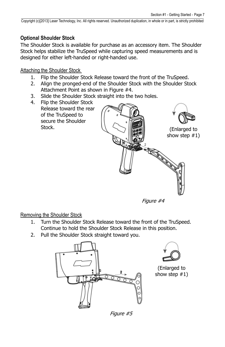(Enlarged to show step #1)

<span id="page-8-3"></span>Copyright (c)[2013] Laser Technology, Inc. All rights reserved. Unauthorized duplication, in whole or in part, is strictly prohibited

### <span id="page-8-0"></span>**Optional Shoulder Stock**

The Shoulder Stock is available for purchase as an accessory item. The Shoulder Stock helps stabilize the TruSpeed while capturing speed measurements and is designed for either left-handed or right-handed use.

<span id="page-8-1"></span>Attaching the Shoulder Stock

- 1. Flip the Shoulder Stock Release toward the front of the TruSpeed.
- 2. Align the pronged-end of the Shoulder Stock with the Shoulder Stock Attachment Point as shown in Figure #4.
- 3. Slide the Shoulder Stock straight into the two holes.
- 4. Flip the Shoulder Stock Release toward the rear of the TruSpeed to secure the Shoulder Stock.



i de Cardinal (Cardinal)<br>Cardinal (Cardinal)<br>Cardinal (Cardinal)

### <span id="page-8-2"></span>Removing the Shoulder Stock

- 1. Turn the Shoulder Stock Release toward the front of the TruSpeed. Continue to hold the Shoulder Stock Release in this position.
- 2. Pull the Shoulder Stock straight toward you.





(Enlarged to show step #1)

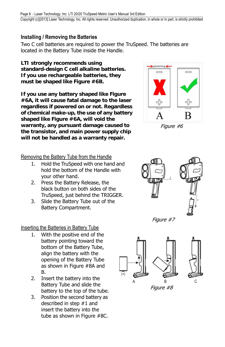### <span id="page-9-4"></span><span id="page-9-0"></span>**Installing / Removing the Batteries**

Two C cell batteries are required to power the TruSpeed. The batteries are located in the Battery Tube inside the Handle.

**LTI strongly recommends using standard-design C cell alkaline batteries. If you use rechargeable batteries, they must be shaped like Figure #6B.** 

<span id="page-9-3"></span>**If you use any battery shaped like Figure #6A, it will cause fatal damage to the laser regardless if powered on or not. Regardless of chemical make-up, the use of any battery shaped like Figure #6A, will void the warranty, any pursuant damage caused to the transistor, and main power supply chip will not be handled as a warranty repair.**

<span id="page-9-1"></span>Removing the Battery Tube from the Handle

- 1. Hold the TruSpeed with one hand and hold the bottom of the Handle with your other hand.
- 2. Press the Battery Release, the black button on both sides of the TruSpeed, just behind the TRIGGER.
- 3. Slide the Battery Tube out of the Battery Compartment.

<span id="page-9-2"></span>Inserting the Batteries in Battery Tube

- 1. With the positive end of the battery pointing toward the bottom of the Battery Tube, align the battery with the opening of the Battery Tube as shown in Figure #8A and B.
- 2. Insert the battery into the Battery Tube and slide the battery to the top of the tube.
- 3. Position the second battery as described in step #1 and insert the battery into the tube as shown in Figure #8C.



Figure #6



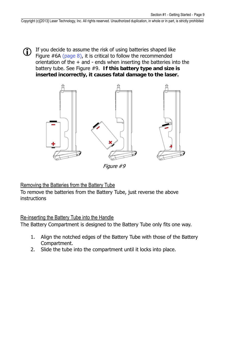If you decide to assume the risk of using batteries shaped like Figure  $#6A$  [\(page 8](#page-9-3)), it is critical to follow the recommended orientation of the  $+$  and  $-$  ends when inserting the batteries into the battery tube. See Figure #9. **If this battery type and size is inserted incorrectly, it causes fatal damage to the laser.**



Figure #9

<span id="page-10-0"></span>Removing the Batteries from the Battery Tube

To remove the batteries from the Battery Tube, just reverse the above **instructions** 

### <span id="page-10-1"></span>Re-inserting the Battery Tube into the Handle

The Battery Compartment is designed to the Battery Tube only fits one way.

- 1. Align the notched edges of the Battery Tube with those of the Battery Compartment.
- 2. Slide the tube into the compartment until it locks into place.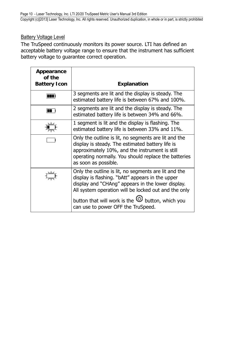### <span id="page-11-2"></span><span id="page-11-1"></span><span id="page-11-0"></span>Battery Voltage Level

The TruSpeed continuously monitors its power source. LTI has defined an acceptable battery voltage range to ensure that the instrument has sufficient battery voltage to guarantee correct operation.

| Appearance<br>of the<br><b>Battery Icon</b> | <b>Explanation</b>                                                                                                                                                                                                                                                              |  |  |  |
|---------------------------------------------|---------------------------------------------------------------------------------------------------------------------------------------------------------------------------------------------------------------------------------------------------------------------------------|--|--|--|
|                                             | 3 segments are lit and the display is steady. The<br>estimated battery life is between 67% and 100%.                                                                                                                                                                            |  |  |  |
|                                             | 2 segments are lit and the display is steady. The<br>estimated battery life is between 34% and 66%.                                                                                                                                                                             |  |  |  |
|                                             | 1 segment is lit and the display is flashing. The<br>estimated battery life is between 33% and 11%.                                                                                                                                                                             |  |  |  |
|                                             | Only the outline is lit, no segments are lit and the<br>display is steady. The estimated battery life is<br>approximately 10%, and the instrument is still<br>operating normally. You should replace the batteries<br>as soon as possible.                                      |  |  |  |
|                                             | Only the outline is lit, no segments are lit and the<br>display is flashing. "bAtt" appears in the upper<br>display and "CHAng" appears in the lower display.<br>All system operation will be locked out and the only<br>button that will work is the $\odot$ button, which you |  |  |  |
|                                             | can use to power OFF the TruSpeed.                                                                                                                                                                                                                                              |  |  |  |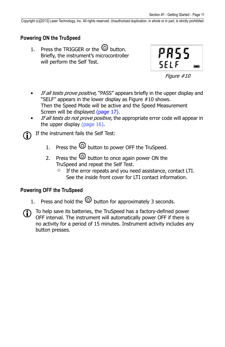### <span id="page-12-2"></span><span id="page-12-0"></span>**Powering ON the TruSpeed**

1. Press the TRIGGER or the  $\circledcirc$  button. Briefly, the instrument's microcontroller will perform the Self Test.



Figure #10

- If all tests prove positive, "PASS" appears briefly in the upper display and "SELF" appears in the lower display as Figure #10 shows. Then the Speed Mode will be active and the Speed Measurement Screen will be displayed ([page 17\)](#page-18-1).
- If all tests do not prove positive, the appropriate error code will appear in the upper display [\(page 16\)](#page-17-0).

If the instrument fails the Self Test:

- 1. Press the  $\textcircled{D}$  button to power OFF the TruSpeed.
- 2. Press the  $\bigcirc$  button to once again power ON the TruSpeed and repeat the Self Test.
	- If the error repeats and you need assistance, contact LTI. See the inside front cover for LTI contact information.

### <span id="page-12-1"></span>**Powering OFF the TruSpeed**

- 1. Press and hold the  $\bigcirc$  button for approximately 3 seconds.
- To help save its batteries, the TruSpeed has a factory-defined power OFF interval. The instrument will automatically power OFF if there is no activity for a period of 15 minutes. Instrument activity includes any button presses.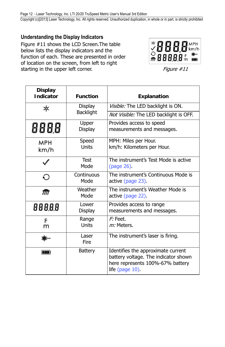### <span id="page-13-1"></span><span id="page-13-0"></span>**Understanding the Display Indicators**

Figure #11 shows the LCD Screen.The table below lists the display indicators and the function of each. These are presented in order of location on the screen, from left to right starting in the upper left corner.



Figure #11

| <b>Display</b><br><b>Indicator</b> | <b>Function</b>                                                      | <b>Explanation</b>                                                                                                                |  |
|------------------------------------|----------------------------------------------------------------------|-----------------------------------------------------------------------------------------------------------------------------------|--|
| ∗                                  | Display                                                              | Visible: The LED backlight is ON.                                                                                                 |  |
|                                    | <b>Backlight</b>                                                     | Not Visible: The LED backlight is OFF.                                                                                            |  |
| 888.8                              | Upper<br>Display                                                     | Provides access to speed<br>measurements and messages.                                                                            |  |
| MPH<br>km/h                        | MPH: Miles per Hour.<br>Speed<br>Units<br>km/h: Kilometers per Hour. |                                                                                                                                   |  |
|                                    | <b>Test</b><br>Mode                                                  | The instrument's Test Mode is active<br>(page 26).                                                                                |  |
| Continuous<br>€<br>Mode            |                                                                      | The instrument's Continuous Mode is<br>active (page 23).                                                                          |  |
| Weather<br>ग्री<br>Mode            |                                                                      | The instrument's Weather Mode is<br>active (page 22).                                                                             |  |
| 88888                              | Lower<br>Display                                                     | Provides access to range<br>measurements and messages.                                                                            |  |
| F<br>m                             | Range<br>Units                                                       | $F$ : Feet.<br>m: Meters.                                                                                                         |  |
| Laser<br>Fire                      |                                                                      | The instrument's laser is firing.                                                                                                 |  |
| m                                  | <b>Battery</b>                                                       | Identifies the approximate current<br>battery voltage. The indicator shown<br>here represents 100%-67% battery<br>life (page 10). |  |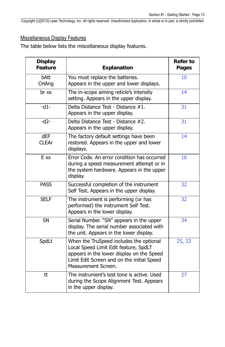### <span id="page-14-1"></span><span id="page-14-0"></span>Miscellaneous Display Features

The table below lists the miscellaneous display features.

| <b>Display</b><br>Feature | <b>Explanation</b>                                                                                                                                                                                 | <b>Refer to</b><br>Pages |
|---------------------------|----------------------------------------------------------------------------------------------------------------------------------------------------------------------------------------------------|--------------------------|
| bAtt<br>CHAng             | You must replace the batteries.<br>Appears in the upper and lower displays.                                                                                                                        | 10                       |
| br xx                     | The in-scope aiming reticle's intensity<br>setting. Appears in the upper display.                                                                                                                  | 14                       |
| $-d1-$                    | Delta Distance Test - Distance #1.<br>Appears in the upper display.                                                                                                                                | 31                       |
| $-d2-$                    | Delta Distance Test - Distance #2.<br>Appears in the upper display.                                                                                                                                | 31                       |
| dEF<br><b>CLEAr</b>       | The factory default settings have been<br>restored. Appears in the upper and lower<br>displays.                                                                                                    | 14                       |
| E xx                      | Error Code. An error condition has occurred<br>during a speed measurement attempt or in<br>the system hardware. Appears in the upper<br>display.                                                   | 16                       |
| <b>PASS</b>               | Successful completion of the instrument<br>Self Test. Appears in the upper display.                                                                                                                | 32                       |
| <b>SELF</b>               | The instrument is performing (or has<br>performed) the instrument Self Test.<br>Appears in the lower display.                                                                                      | 32                       |
| $\overline{\text{SN}}$    | Serial Number. "SN" appears in the upper<br>display. The serial number associated with<br>the unit. Appears in the lower display.                                                                  | 34                       |
| SpdLt                     | When the TruSpeed includes the optional<br>Local Speed Limit Edit feature, SpdLT<br>appears in the lower display on the Speed<br>Limit Edit Screen and on the initial Speed<br>Measurement Screen. | 25, 33                   |
| tt                        | The instrument's test tone is active. Used<br>during the Scope Alignment Test. Appears<br>in the upper display.                                                                                    | 27                       |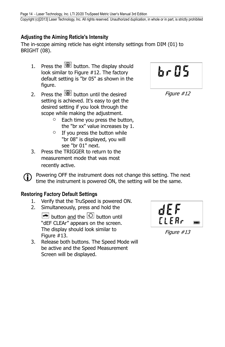### <span id="page-15-3"></span><span id="page-15-0"></span>**Adjusting the Aiming Reticle's Intensity**

The in-scope aiming reticle has eight intensity settings from DIM (01) to BRIGHT (08).

- 1. Press the  $\circledast$  button. The display should look similar to Figure #12. The factory default setting is "br 05" as shown in the figure.
- 2. Press the  $\circled{2}$  button until the desired setting is achieved. It's easy to get the desired setting if you look through the scope while making the adjustment.
	- $\circ$  Each time you press the button, the "br xx" value increases by 1.
	- $\circ$  If you press the button while "br 08" is displayed, you will see "br 01" next.
- 3. Press the TRIGGER to return to the measurement mode that was most recently active.

Powering OFF the instrument does not change this setting. The next time the instrument is powered ON, the setting will be the same.

### <span id="page-15-2"></span><span id="page-15-1"></span>**Restoring Factory Default Settings**

- 1. Verify that the TruSpeed is powered ON.
- 2. Simultaneously, press and hold the

 $\bigcirc$  button and the  $\bigcirc$  button until "dEF CLEAr" appears on the screen. The display should look similar to Figure #13.

3. Release both buttons. The Speed Mode will be active and the Speed Measurement Screen will be displayed.



Figure #13



Figure #12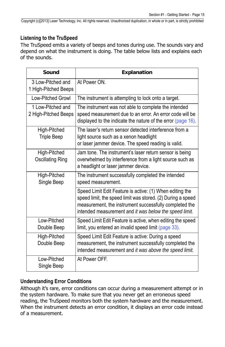### <span id="page-16-4"></span><span id="page-16-2"></span><span id="page-16-0"></span>**Listening to the TruSpeed**

The TruSpeed emits a variety of beeps and tones during use. The sounds vary and depend on what the instrument is doing. The table below lists and explains each of the sounds.

<span id="page-16-3"></span>

| Sound                                     | <b>Explanation</b>                                                                                                                                                                                                                          |
|-------------------------------------------|---------------------------------------------------------------------------------------------------------------------------------------------------------------------------------------------------------------------------------------------|
| 3 Low-Pitched and<br>1 High-Pitched Beeps | At Power ON.                                                                                                                                                                                                                                |
| <b>Low-Pitched Growl</b>                  | The instrument is attempting to lock onto a target.                                                                                                                                                                                         |
| 1 Low-Pitched and<br>2 High-Pitched Beeps | The instrument was not able to complete the intended<br>speed measurement due to an error. An error code will be<br>displayed to the indicate the nature of the error (page 16).                                                            |
| High-Pitched<br><b>Triple Beep</b>        | The laser's return sensor detected interference from a<br>light source such as a xenon headlight<br>or laser jammer device. The speed reading is valid.                                                                                     |
| High-Pitched<br><b>Oscillating Ring</b>   | Jam tone. The instrument's laser return sensor is being<br>overwhelmed by interference from a light source such as<br>a headlight or laser jammer device.                                                                                   |
| High-Pitched<br>Single Beep               | The instrument successfully completed the intended<br>speed measurement.                                                                                                                                                                    |
|                                           | Speed Limit Edit Feature is active: (1) When editing the<br>speed limit, the speed limit was stored. (2) During a speed<br>measurement, the instrument successfully completed the<br>intended measurement and it was below the speed limit. |
| Low-Pitched<br>Double Beep                | Speed Limit Edit Feature is active, when editing the speed<br>limit, you entered an invalid speed limit (page 33).                                                                                                                          |
| High-Pitched<br>Double Beep               | Speed Limit Edit Feature is active: During a speed<br>measurement, the instrument successfully completed the<br>intended measurement and it was above the speed limit.                                                                      |
| Low-Pitched<br>Single Beep                | At Power OFF.                                                                                                                                                                                                                               |

### <span id="page-16-1"></span>**Understanding Error Conditions**

Although it's rare, error conditions can occur during a measurement attempt or in the system hardware. To make sure that you never get an erroneous speed reading, the TruSpeed monitors both the system hardware and the measurement. When the instrument detects an error condition, it displays an error code instead of a measurement.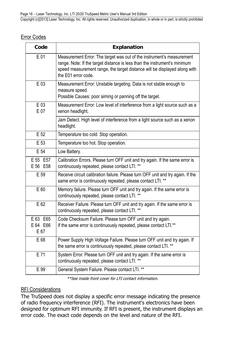### <span id="page-17-3"></span><span id="page-17-2"></span><span id="page-17-0"></span>Error Codes

| Code                                          | Explanation                                                                                                                                                                                                                                            |
|-----------------------------------------------|--------------------------------------------------------------------------------------------------------------------------------------------------------------------------------------------------------------------------------------------------------|
| E 01                                          | Measurement Error: The target was out of the instrument's measurement<br>range. Note: If the target distance is less than the instrument's minimum<br>speed measurement range, the target distance will be displayed along with<br>the E01 error code. |
| $E_{03}$                                      | Measurement Error: Unstable targeting. Data is not stable enough to<br>measure speed.<br>Possible Causes: poor aiming or panning off the target.                                                                                                       |
| E 03<br>E 07                                  | Measurement Error: Low level of interference from a light source such as a<br>xenon headlight.                                                                                                                                                         |
|                                               | Jam Detect. High level of interference from a light source such as a xenon<br>headlight.                                                                                                                                                               |
| E 52<br>Temperature too cold. Stop operation. |                                                                                                                                                                                                                                                        |
| E 53                                          | Temperature too hot. Stop operation.                                                                                                                                                                                                                   |
| E 54                                          | Low Battery.                                                                                                                                                                                                                                           |
| E 55 E 57<br>E 56 E 58                        | Calibration Errors. Please turn OFF unit and try again. If the same error is<br>continuously repeated, please contact LTI. **                                                                                                                          |
| E 59                                          | Receive circuit calibration failure. Please turn OFF unit and try again. If the<br>same error is continuously repeated, please contact LTI. **                                                                                                         |
| E 60                                          | Memory failure. Please turn OFF unit and try again. If the same error is<br>continuously repeated, please contact LTI. **                                                                                                                              |
| E 62                                          | Receiver Failure. Please turn OFF unit and try again. If the same error is<br>continuously repeated, please contact LTI. **                                                                                                                            |
| E 63 E 65<br>E 64 E 66<br>E 67                | Code Checksum Failure. Please turn OFF unit and try again.<br>If the same error is continuously repeated, please contact LTI.**                                                                                                                        |
| E 68                                          | Power Supply High Voltage Failure. Please turn OFF unit and try again. If<br>the same error is continuously repeated, please contact LTI. **                                                                                                           |
| E 71                                          | System Error. Please turn OFF unit and try again. If the same error is<br>continuously repeated, please contact LTI. **                                                                                                                                |
| E 99                                          | General System Failure. Please contact LTI. **                                                                                                                                                                                                         |

\*\*See inside front cover for LTI contact information.

### <span id="page-17-1"></span>RFI Considerations

The TruSpeed does not display a specific error message indicating the presence of radio frequency interference (RFI). The instrument's electronics have been designed for optimum RFI immunity. If RFI is present, the instrument displays an error code. The exact code depends on the level and nature of the RFI.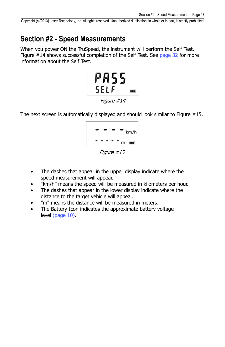## <span id="page-18-2"></span><span id="page-18-0"></span>**Section #2 - Speed Measurements**

When you power ON the TruSpeed, the instrument will perform the Self Test. Figure #14 shows successful completion of the Self Test. See [page 32](#page-33-1) for more information about the Self Test.



The next screen is automatically displayed and should look similar to Figure #15.



<span id="page-18-1"></span>Figure #15

- The dashes that appear in the upper display indicate where the speed measurement will appear.
- "km/h" means the speed will be measured in kilometers per hour.
- The dashes that appear in the lower display indicate where the distance to the target vehicle will appear.
- "m" means the distance will be measured in meters.
- The Battery Icon indicates the approximate battery voltage level ([page 10](#page-11-1)).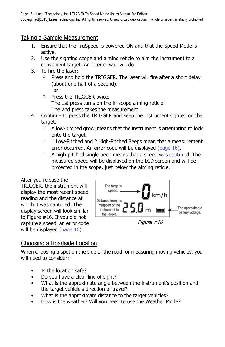### <span id="page-19-2"></span><span id="page-19-0"></span>Taking a Sample Measurement

- 1. Ensure that the TruSpeed is powered ON and that the Speed Mode is active.
- 2. Use the sighting scope and aiming reticle to aim the instrument to a convenient target. An interior wall will do.
- 3. To fire the laser:
	- $\circ$  Press and hold the TRIGGER. The laser will fire after a short delay (about one-half of a second). -or-
	- o Press the TRIGGER twice.
		- The 1st press turns on the in-scope aiming reticle.
		- The 2nd press takes the measurement.
- 4. Continue to press the TRIGGER and keep the instrument sighted on the target:
	- $\circ$  A low-pitched growl means that the instrument is attempting to lock onto the target.
	- $\circ$  1 Low-Pitched and 2 High-Pitched Beeps mean that a measurement error occurred. An error code will be displayed [\(page 16\)](#page-17-2).
	- $\circ$  A high-pitched single beep means that a speed was captured. The measured speed will be displayed on the LCD screen and will be projected in the scope, just below the aiming reticle.

#### After you release the

TRIGGER, the instrument will display the most recent speed reading and the distance at which it was captured. The display screen will look similar to Figure #16. If you did not capture a speed, an error code will be displayed [\(page 16](#page-17-2)).



### <span id="page-19-1"></span>Choosing a Roadside Location

When choosing a spot on the side of the road for measuring moving vehicles, you will need to consider:

- Is the location safe?
- Do you have a clear line of sight?
- What is the approximate angle between the instrument's position and the target vehicle's direction of travel?
- What is the approximate distance to the target vehicles?
- How is the weather? Will you need to use the Weather Mode?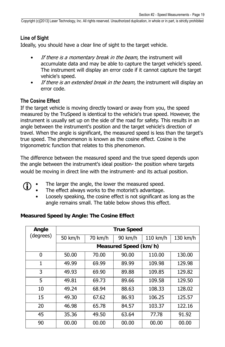#### <span id="page-20-2"></span><span id="page-20-0"></span>**Line of Sight**

Ideally, you should have a clear line of sight to the target vehicle.

- If there is a momentary break in the beam, the instrument will accumulate data and may be able to capture the target vehicle's speed. The instrument will display an error code if it cannot capture the target vehicle's speed.
- If there is an extended break in the beam, the instrument will display an error code.

### <span id="page-20-1"></span>**The Cosine Effect**

If the target vehicle is moving directly toward or away from you, the speed measured by the TruSpeed is identical to the vehicle's true speed. However, the instrument is usually set up on the side of the road for safety. This results in an angle between the instrument's position and the target vehicle's direction of travel. When the angle is significant, the measured speed is less than the target's true speed. The phenomenon is known as the cosine effect. Cosine is the trigonometric function that relates to this phenomenon.

The difference between the measured speed and the true speed depends upon the angle between the instrument's ideal position- the position where targets would be moving in direct line with the instrument- and its actual position.

- **•** The larger the angle, the lower the measured speed.
	- The effect always works to the motorist's advantage.
	- Loosely speaking, the cosine effect is not significant as long as the angle remains small. The table below shows this effect.

| Angle        | <b>True Speed</b>     |         |         |          |          |
|--------------|-----------------------|---------|---------|----------|----------|
| (degrees)    | 50 km/h               | 70 km/h | 90 km/h | 110 km/h | 130 km/h |
|              | Measured Speed (km/h) |         |         |          |          |
| 0            | 50.00                 | 70.00   | 90.00   | 110.00   | 130.00   |
| $\mathbf{1}$ | 49.99                 | 69.99   | 89.99   | 109.98   | 129.98   |
| 3            | 49.93                 | 69.90   | 89.88   | 109.85   | 129.82   |
| 5            | 49.81                 | 69.73   | 89.66   | 109.58   | 129.50   |
| 10           | 49.24                 | 68.94   | 88.63   | 108.33   | 128.02   |
| 15           | 49.30                 | 67.62   | 86.93   | 106.25   | 125.57   |
| 20           | 46.98                 | 65.78   | 84.57   | 103.37   | 122.16   |
| 45           | 35.36                 | 49.50   | 63.64   | 77.78    | 91.92    |
| 90           | 00.00                 | 00.00   | 00.00   | 00.00    | 00.00    |

#### **Measured Speed by Angle: The Cosine Effect**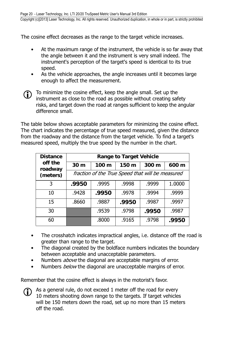<span id="page-21-0"></span>The cosine effect decreases as the range to the target vehicle increases.

- At the maximum range of the instrument, the vehicle is so far away that the angle between it and the instrument is very small indeed. The instrument's perception of the target's speed is identical to its true speed.
- As the vehicle approaches, the angle increases until it becomes large enough to affect the measurement.

 $\bigodot$  To minimize the cosine effect, keep the angle small. Set up the instrument as close to the road as possible without creating safety risks, and target down the road at ranges sufficient to keep the angular difference small.

The table below shows acceptable parameters for minimizing the cosine effect. The chart indicates the percentage of true speed measured, given the distance from the roadway and the distance from the target vehicle. To find a target's measured speed, multiply the true speed by the number in the chart.

| <b>Distance</b>    | <b>Range to Target Vehicle</b>                   |                  |       |       |        |
|--------------------|--------------------------------------------------|------------------|-------|-------|--------|
| off the<br>roadway | 30 <sub>m</sub>                                  | 100 <sub>m</sub> | 150 m | 300 m | 600 m  |
| (meters)           | fraction of the True Speed that will be measured |                  |       |       |        |
| 3                  | .9950                                            | .9995            | .9998 | .9999 | 1.0000 |
| 10                 | .9428                                            | .9950            | .9978 | .9994 | .9999  |
| 15                 | .8660                                            | .9887            | .9950 | .9987 | .9997  |
| 30                 |                                                  | .9539            | .9798 | .9950 | .9987  |
| 60                 |                                                  | .8000            | .9165 | .9798 | .9950  |

- The crosshatch indicates impractical angles, i.e. distance off the road is greater than range to the target.
- The diagonal created by the boldface numbers indicates the boundary between acceptable and unacceptable parameters.
- Numbers *above* the diagonal are acceptable margins of error.
- Numbers *below* the diagonal are unacceptable margins of error.

Remember that the cosine effect is always in the motorist's favor.

 $\bigodot$  As a general rule, do not exceed 1 meter off the road for every 10 meters shooting down range to the targets. If target vehicles will be 150 meters down the road, set up no more than 15 meters off the road.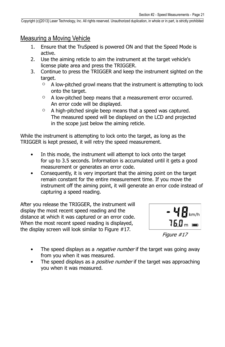### <span id="page-22-1"></span><span id="page-22-0"></span>Measuring a Moving Vehicle

- 1. Ensure that the TruSpeed is powered ON and that the Speed Mode is active.
- 2. Use the aiming reticle to aim the instrument at the target vehicle's license plate area and press the TRIGGER.
- 3. Continue to press the TRIGGER and keep the instrument sighted on the target.
	- $\circ$  A low-pitched growl means that the instrument is attempting to lock onto the target.
	- A low-pitched beep means that a measurement error occurred. An error code will be displayed.
	- $\circ$  A high-pitched single beep means that a speed was captured. The measured speed will be displayed on the LCD and projected in the scope just below the aiming reticle.

While the instrument is attempting to lock onto the target, as long as the TRIGGER is kept pressed, it will retry the speed measurement.

- In this mode, the instrument will attempt to lock onto the target for up to 3.5 seconds. Information is accumulated until it gets a good measurement or generates an error code.
- Consequently, it is very important that the aiming point on the target remain constant for the entire measurement time. If you move the instrument off the aiming point, it will generate an error code instead of capturing a speed reading.

After you release the TRIGGER, the instrument will display the most recent speed reading and the distance at which it was captured or an error code. When the most recent speed reading is displayed, the display screen will look similar to Figure #17.



Figure #17

- The speed displays as a *negative number* if the target was going away from you when it was measured.
- The speed displays as a *positive number* if the target was approaching you when it was measured.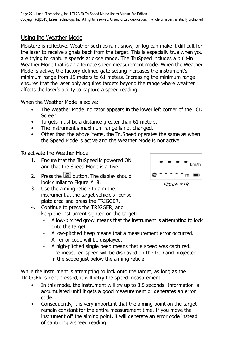### <span id="page-23-2"></span><span id="page-23-1"></span><span id="page-23-0"></span>Using the Weather Mode

Moisture is reflective. Weather such as rain, snow, or fog can make it difficult for the laser to receive signals back from the target. This is especially true when you are trying to capture speeds at close range. The TruSpeed includes a built-in Weather Mode that is an alternate speed measurement mode. When the Weather Mode is active, the factory-defined gate setting increases the instrument's minimum range from 15 meters to 61 meters. Increasing the minimum range ensures that the laser only acquires targets beyond the range where weather affects the laser's ability to capture a speed reading.

When the Weather Mode is active:

- The Weather Mode indicator appears in the lower left corner of the LCD Screen.
- Targets must be a distance greater than 61 meters.
- The instrument's maximum range is not changed.
- Other than the above items, the TruSpeed operates the same as when the Speed Mode is active and the Weather Mode is not active.

To activate the Weather Mode.

- 1. Ensure that the TruSpeed is powered ON and that the Speed Mode is active.
- 2. Press the  $\boxed{\overline{m}}$  button. The display should look similar to Figure #18.
- 3. Use the aiming reticle to aim the instrument at the target vehicle's license plate area and press the TRIGGER.
- 4. Continue to press the TRIGGER, and keep the instrument sighted on the target:
	- $\circ$  A low-pitched growl means that the instrument is attempting to lock onto the target.
	- A low-pitched beep means that a measurement error occurred. An error code will be displayed.
	- $\circ$  A high-pitched single beep means that a speed was captured. The measured speed will be displayed on the LCD and projected in the scope just below the aiming reticle.

While the instrument is attempting to lock onto the target, as long as the TRIGGER is kept pressed, it will retry the speed measurement.

- In this mode, the instrument will try up to 3.5 seconds. Information is accumulated until it gets a good measurement or generates an error code.
- Consequently, it is very important that the aiming point on the target remain constant for the entire measurement time. If you move the instrument off the aiming point, it will generate an error code instead of capturing a speed reading.



Figure #18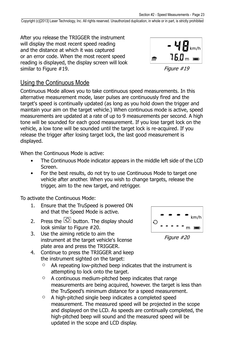<span id="page-24-2"></span>After you release the TRIGGER the instrument will display the most recent speed reading and the distance at which it was captured or an error code. When the most recent speed reading is displayed, the display screen will look similar to Figure #19.



Figure #19

### <span id="page-24-1"></span><span id="page-24-0"></span>Using the Continuous Mode

Continuous Mode allows you to take continuous speed measurements. In this alternative measurement mode, laser pulses are continuously fired and the target's speed is continually updated (as long as you hold down the trigger and maintain your aim on the target vehicle.) When continuous mode is active, speed measurements are updated at a rate of up to 9 measurements per second. A high tone will be sounded for each good measurement. If you lose target lock on the vehicle, a low tone will be sounded until the target lock is re-acquired. If you release the trigger after losing target lock, the last good measurement is displayed.

When the Continuous Mode is active:

- The Continuous Mode indicator appears in the middle left side of the LCD Screen.
- For the best results, do not try to use Continuous Mode to target one vehicle after another. When you wish to change targets, release the trigger, aim to the new target, and retrigger.

To activate the Continuous Mode:

- 1. Ensure that the TruSpeed is powered ON and that the Speed Mode is active.
- 2. Press the  $\Theta$  button. The display should look similar to Figure #20.
- 3. Use the aiming reticle to aim the instrument at the target vehicle's license plate area and press the TRIGGER.
- 4. Continue to press the TRIGGER and keep the instrument sighted on the target:
	- AA repeating low-pitched beep indicates that the instrument is attempting to lock onto the target.
	- A continuous medium-pitched beep indicates that range measurements are being acquired, however. the target is less than the TruSpeed's minimum distance for a speed measurement.
	- A high-pitched single beep indicates a completed speed measurement. The measured speed will be projected in the scope and displayed on the LCD. As speeds are continually completed, the high-pitched beep will sound and the measured speed will be updated in the scope and LCD display.



Figure #20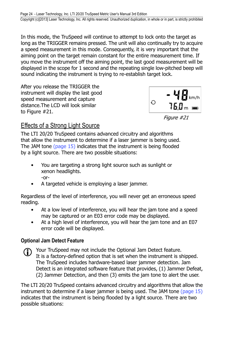<span id="page-25-2"></span>In this mode, the TruSpeed will continue to attempt to lock onto the target as long as the TRIGGER remains pressed. The unit will also continually try to acquire a speed measurement in this mode. Consequently, it is very important that the aiming point on the target remain constant for the entire measurement time. If you move the instrument off the aiming point, the last good measurement will be displayed in the scope for 1 second and the repeating single low-pitched beep will sound indicating the instrument is trying to re-establish target lock.

After you release the TRIGGER the instrument will display the last good speed measurement and capture distance.The LCD will look similar to Figure #21.



Figure #21

### <span id="page-25-0"></span>Effects of a Strong Light Source

The LTI 20/20 TruSpeed contains advanced circuitry and algorithms that allow the instrument to determine if a laser jammer is being used. The JAM tone [\(page 15](#page-16-3)) indicates that the instrument is being flooded by a light source. There are two possible situations:

- You are targeting a strong light source such as sunlight or xenon headlights. -or-
- A targeted vehicle is employing a laser jammer.

Regardless of the level of interference, you will never get an erroneous speed reading.

- At a low level of interference, you will hear the jam tone and a speed may be captured or an E03 error code may be displayed.
- At a high level of interference, you will hear the jam tone and an E07 error code will be displayed.

### <span id="page-25-1"></span>**Optional Jam Detect Feature**

Your TruSpeed may not include the Optional Jam Detect feature. It is a factory-defined option that is set when the instrument is shipped. The TruSpeed includes hardware-based laser jammer detection. Jam Detect is an integrated software feature that provides, (1) Jammer Defeat, (2) Jammer Detection, and then (3) emits the jam tone to alert the user.

The LTI 20/20 TruSpeed contains advanced circuitry and algorithms that allow the instrument to determine if a laser jammer is being used. The JAM tone [\(page 15](#page-16-2)) indicates that the instrument is being flooded by a light source. There are two possible situations: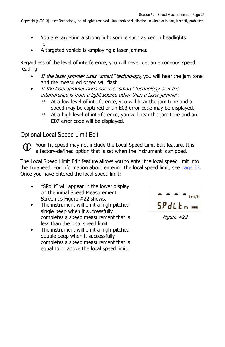- You are targeting a strong light source such as xenon headlights. -or-
- A targeted vehicle is employing a laser jammer.

Regardless of the level of interference, you will never get an erroneous speed reading.

- If the laser jammer uses "smart" technology, you will hear the jam tone and the measured speed will flash.
- If the laser jammer does not use "smart" technology or if the interference is from a light source other than a laser jammer:
	- At a low level of interference, you will hear the jam tone and a speed may be captured or an E03 error code may be displayed.
	- $\circ$  At a high level of interference, you will hear the jam tone and an E07 error code will be displayed.

### <span id="page-26-0"></span>Optional Local Speed Limit Edit

<span id="page-26-1"></span> Your TruSpeed may not include the Local Speed Limit Edit feature. It is a factory-defined option that is set when the instrument is shipped.

The Local Speed Limit Edit feature allows you to enter the local speed limit into the TruSpeed. For information about entering the local speed limit, see [page 33.](#page-34-1) Once you have entered the local speed limit:

- "SPdLt" will appear in the lower display on the initial Speed Measurement Screen as Figure #22 shows.
- The instrument will emit a high-pitched single beep when it successfully completes a speed measurement that is less than the local speed limit.
- The instrument will emit a high-pitched double beep when it successfully completes a speed measurement that is equal to or above the local speed limit.



Figure #22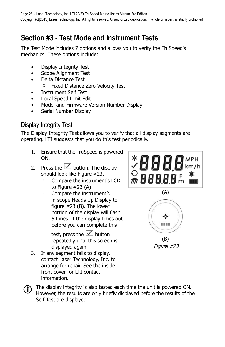## <span id="page-27-4"></span><span id="page-27-2"></span><span id="page-27-0"></span>**Section #3 - Test Mode and Instrument Tests**

The Test Mode includes 7 options and allows you to verify the TruSpeed's mechanics. These options include:

- Display Integrity Test
- Scope Alignment Test
- Delta Distance Test
	- Fixed Distance Zero Velocity Test
- Instrument Self Test
- Local Speed Limit Edit
- Model and Firmware Version Number Display
- Serial Number Display

### <span id="page-27-3"></span><span id="page-27-1"></span>Display Integrity Test

The Display Integrity Test allows you to verify that all display segments are operating. LTI suggests that you do this test periodically.

- 1. Ensure that the TruSpeed is powered ON.
- 2. Press the  $\vee$  button. The display should look like Figure #23.
	- Compare the instrument's LCD to Figure #23 (A).
	- Compare the instrument's in-scope Heads Up Display to figure #23 (B). The lower portion of the display will flash 5 times. If the display times out before you can complete this

repeatedly until this screen is displayed again.

front cover for LTI contact

information.

test, press the  $\boxed{\checkmark}$  button 3. If any segment fails to display, contact Laser Technology, Inc. to arrange for repair. See the inside





The display integrity is also tested each time the unit is powered ON. However, the results are only briefly displayed before the results of the Self Test are displayed.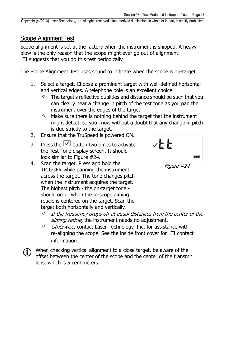### <span id="page-28-2"></span><span id="page-28-1"></span><span id="page-28-0"></span>Scope Alignment Test

Scope alignment is set at the factory when the instrument is shipped. A heavy blow is the only reason that the scope might ever go out of alignment. LTI suggests that you do this test periodically.

The Scope Alignment Test uses sound to indicate when the scope is on-target.

- 1. Select a target. Choose a prominent target with well-defined horizontal and vertical edges. A telephone pole is an excellent choice.
	- $\degree$  The target's reflective qualities and distance should be such that you can clearly hear a change in pitch of the test tone as you pan the instrument over the edges of the target.
	- $\circ$  Make sure there is nothing behind the target that the instrument might detect, so you know without a doubt that any change in pitch is due strictly to the target.
- 2. Ensure that the TruSpeed is powered ON.
- 3. Press the  $\vee$  button two times to activate the Test Tone display screen. It should look similar to Figure #24.
- 4. Scan the target. Press and hold the TRIGGER while panning the instrument across the target. The tone changes pitch when the instrument acquires the target. The highest pitch - the on-target tone should occur when the in-scope aiming reticle is centered on the target. Scan the target both horizontally and vertically.



Figure #24

- $\circ$  If the frequency drops off at equal distances from the center of the aiming reticle, the instrument needs no adjustment.
- Otherwise, contact Laser Technology, Inc. for assistance with re-aligning the scope. See the inside front cover for LTI contact information.

When checking vertical alignment to a close target, be aware of the offset between the center of the scope and the center of the transmit lens, which is 5 centimeters.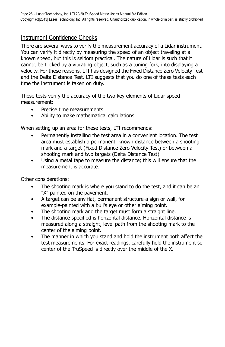### <span id="page-29-1"></span><span id="page-29-0"></span>**Instrument Confidence Checks**

There are several ways to verify the measurement accuracy of a Lidar instrument. You can verify it directly by measuring the speed of an object traveling at a known speed, but this is seldom practical. The nature of Lidar is such that it cannot be tricked by a vibrating object, such as a tuning fork, into displaying a velocity. For these reasons, LTI has designed the Fixed Distance Zero Velocity Test and the Delta Distance Test. LTI suggests that you do one of these tests each time the instrument is taken on duty.

These tests verify the accuracy of the two key elements of Lidar speed measurement:

- Precise time measurements
- Ability to make mathematical calculations

When setting up an area for these tests, LTI recommends:

- Permanently installing the test area in a convenient location. The test area must establish a permanent, known distance between a shooting mark and a target (Fixed Distance Zero Velocity Test) or between a shooting mark and two targets (Delta Distance Test).
- Using a metal tape to measure the distance; this will ensure that the measurement is accurate.

Other considerations:

- The shooting mark is where you stand to do the test, and it can be an "X" painted on the pavement.
- A target can be any flat, permanent structure-a sign or wall, for example-painted with a bull's eye or other aiming point.
- The shooting mark and the target must form a straight line.
- The distance specified is horizontal distance. Horizontal distance is measured along a straight, level path from the shooting mark to the center of the aiming point.
- The manner in which you stand and hold the instrument both affect the test measurements. For exact readings, carefully hold the instrument so center of the TruSpeed is directly over the middle of the X.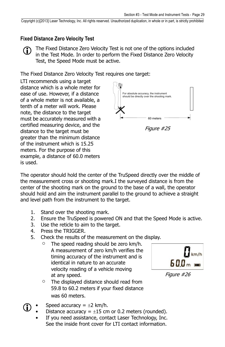### <span id="page-30-1"></span><span id="page-30-0"></span>**Fixed Distance Zero Velocity Test**

The Fixed Distance Zero Velocity Test is not one of the options included in the Test Mode. In order to perform the Fixed Distance Zero Velocity Test, the Speed Mode must be active.

The Fixed Distance Zero Velocity Test requires one target:

LTI recommends using a target distance which is a whole meter for ease of use. However, if a distance of a whole meter is not available, a tenth of a meter will work. Please note, the distance to the target must be accurately measured with a certified measuring device, and the distance to the target must be greater than the minimum distance of the instrument which is 15.25 meters. For the purpose of this example, a distance of 60.0 meters is used.



The operator should hold the center of the TruSpeed directly over the middle of the measurement cross or shooting mark.I the surveyed distance is from the center of the shooting mark on the ground to the base of a wall, the operator should hold and aim the instrument parallel to the ground to achieve a straight and level path from the instrument to the target.

- 1. Stand over the shooting mark.
- 2. Ensure the TruSpeed is powered ON and that the Speed Mode is active.
- 3. Use the reticle to aim to the target.
- 4. Press the TRIGGER.
- 5. Check the results of the measurement on the display.
	- $\circ$  The speed reading should be zero km/h. A measurement of zero km/h verifies the timing accuracy of the instrument and is identical in nature to an accurate velocity reading of a vehicle moving at any speed.
	- The displayed distance should read from 59.8 to 60.2 meters if your fixed distance was 60 meters.



Figure #26

- Speed accuracy =  $\pm 2$  km/h.
	- Distance accuracy =  $\pm 15$  cm or 0.2 meters (rounded).
	- If you need assistance, contact Laser Technology, Inc. See the inside front cover for LTI contact information.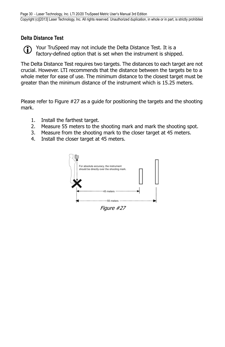### <span id="page-31-1"></span><span id="page-31-0"></span>**Delta Distance Test**

Your TruSpeed may not include the Delta Distance Test. It is a factory-defined option that is set when the instrument is shipped.

The Delta Distance Test requires two targets. The distances to each target are not crucial. However. LTI recommends that the distance between the targets be to a whole meter for ease of use. The minimum distance to the closest target must be greater than the minimum distance of the instrument which is 15.25 meters.

Please refer to Figure #27 as a guide for positioning the targets and the shooting mark.

- 1. Install the farthest target.
- 2. Measure 55 meters to the shooting mark and mark the shooting spot.
- 3. Measure from the shooting mark to the closer target at 45 meters.
- 4. Install the closer target at 45 meters.

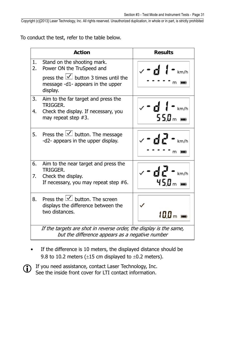<span id="page-32-2"></span>To conduct the test, refer to the table below.

<span id="page-32-1"></span><span id="page-32-0"></span>

|          | <b>Action</b>                                                                                                                                          | <b>Results</b>                                                                                                    |
|----------|--------------------------------------------------------------------------------------------------------------------------------------------------------|-------------------------------------------------------------------------------------------------------------------|
| 1.<br>2. | Stand on the shooting mark.<br>Power ON the TruSpeed and<br>press the $\vert \vee \vert$ button 3 times until the<br>message -d1- appears in the upper | $\checkmark$ - d $\checkmark$ - km/h                                                                              |
| 3.       | display.                                                                                                                                               |                                                                                                                   |
| 4.       | Aim to the far target and press the<br>TRIGGFR.<br>Check the display. If necessary, you<br>may repeat step $#3$ .                                      | $v - d$ $\frac{1}{2}$ $\frac{1}{2}$ $\frac{1}{2}$ $\frac{1}{2}$ $\frac{1}{2}$ $\frac{1}{2}$ $\frac{1}{2}$<br>550m |
| 5.       | Press the $\vert \vee \vert$ button. The message<br>-d2- appears in the upper display.                                                                 | $\sim$ - de - km/h                                                                                                |
| 6.       | Aim to the near target and press the<br>TRIGGER.                                                                                                       | <sub></sub> 、‐d2‐ <sub>km/h</sub>                                                                                 |
| 7.       | Check the display.<br>If necessary, you may repeat step $#6$ .                                                                                         | 450 <sub>m</sub>                                                                                                  |
| 8.       | Press the $\boxed{\checkmark}$ button. The screen<br>displays the difference between the<br>two distances.                                             | 100.                                                                                                              |
|          | If the targets are shot in reverse order, the display is the same,<br>but the difference appears as a negative number                                  |                                                                                                                   |

• If the difference is 10 meters, the displayed distance should be 9.8 to 10.2 meters ( $\pm$ 15 cm displayed to  $\pm$ 0.2 meters).

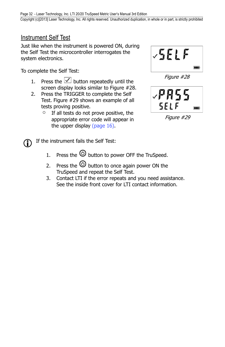### <span id="page-33-2"></span><span id="page-33-1"></span><span id="page-33-0"></span>Instrument Self Test

Just like when the instrument is powered ON, during the Self Test the microcontroller interrogates the system electronics.

To complete the Self Test:

- 1. Press the  $\vee$  button repeatedly until the screen display looks similar to Figure #28.
- 2. Press the TRIGGER to complete the Self Test. Figure #29 shows an example of all tests proving positive.
	- $\circ$  If all tests do not prove positive, the appropriate error code will appear in the upper display [\(page 16](#page-17-2)).



Figure #28



Figure #29

**1** If the instrument fails the Self Test:

- 1. Press the  $\odot$  button to power OFF the TruSpeed.
- 2. Press the  $\circledcirc$  button to once again power ON the TruSpeed and repeat the Self Test.
- 3. Contact LTI if the error repeats and you need assistance. See the inside front cover for LTI contact information.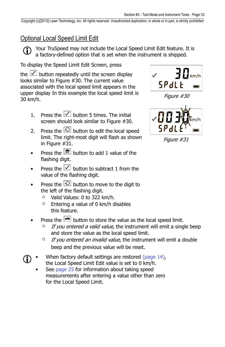### <span id="page-34-0"></span>Optional Local Speed Limit Edit

<span id="page-34-1"></span> Your TruSpeed may not include the Local Speed Limit Edit feature. It is a factory-defined option that is set when the instrument is shipped.

To display the Speed Limit Edit Screen, press

the  $\vee$  button repeatedly until the screen display looks similar to Figure #30. The current value associated with the local speed limit appears in the upper display In this example the local speed limit is 30 km/h.

- 1. Press the  $\boxed{\smash{\bigtriangledown}}$  button 5 times. The initial screen should look similar to Figure #30.
- 2. Press the  $\overline{O}$  button to edit the local speed limit. The right-most digit will flash as shown in Figure #31.
- Press the  $\frac{1}{2}$  button to add 1 value of the flashing digit.
- Press the  $\vee$  button to subtract 1 from the value of the flashing digit.
- Press the  $\overline{\bigcirc}$  button to move to the digit to the left of the flashing digit.
	- $\circ$  Valid Values: 0 to 322 km/h.
	- $\circ$  Entering a value of 0 km/h disables this feature.
- Press the  $\blacksquare$  button to store the value as the local speed limit.
	- If you entered a valid value, the instrument will emit a single beep and store the value as the local speed limit.
	- $\circ$  If you entered an invalid value, the instrument will emit a double beep and the previous value will be reset.
- When factory default settings are restored [\(page 14](#page-15-2)), the Local Speed Limit Edit value is set to 0 km/h.
	- See [page 25](#page-26-1) for information about taking speed measurements after entering a value other than zero for the Local Speed Limit.



Figure #30



Figure #31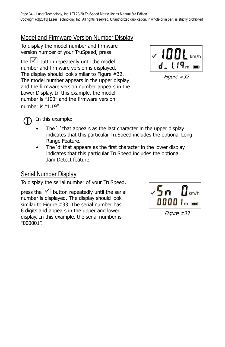### <span id="page-35-3"></span><span id="page-35-0"></span>Model and Firmware Version Number Display

To display the model number and firmware version number of your TruSpeed, press

the  $\vee$  button repeatedly until the model number and firmware version is displayed. The display should look similar to Figure #32. The model number appears in the upper display and the firmware version number appears in the Lower Display. In this example, the model number is "100" and the firmware version number is "1.19".



Figure #32



(iii) In this example:

- The 'L' that appears as the last character in the upper display indicates that this particular TruSpeed includes the optional Long Range Feature.
- The 'd' that appears as the first character in the lower display indicates that this particular TruSpeed includes the optional Jam Detect feature.

### <span id="page-35-2"></span><span id="page-35-1"></span>Serial Number Display

To display the serial number of your TruSpeed,

press the  $\vee$  button repeatedly until the serial number is displayed. The display should look similar to Figure #33. The serial number has 6 digits and appears in the upper and lower display. In this example, the serial number is "000001".



Figure #33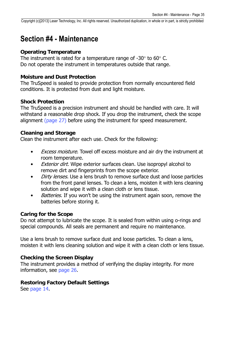### <span id="page-36-1"></span><span id="page-36-0"></span>**Section #4 - Maintenance**

#### **Operating Temperature**

The instrument is rated for a temperature range of -30 $\degree$  to 60 $\degree$  C. Do not operate the instrument in temperatures outside that range.

#### **Moisture and Dust Protection**

The TruSpeed is sealed to provide protection from normally encountered field conditions. It is protected from dust and light moisture.

#### **Shock Protection**

The TruSpeed is a precision instrument and should be handled with care. It will withstand a reasonable drop shock. If you drop the instrument, check the scope alignment [\(page 27](#page-28-1)) before using the instrument for speed measurement.

#### **Cleaning and Storage**

Clean the instrument after each use. Check for the following:

- *Excess moisture.* Towel off excess moisture and air dry the instrument at room temperature.
- **Exterior dirt.** Wipe exterior surfaces clean. Use isopropyl alcohol to remove dirt and fingerprints from the scope exterior.
- *Dirty lenses*. Use a lens brush to remove surface dust and loose particles from the front panel lenses. To clean a lens, moisten it with lens cleaning solution and wipe it with a clean cloth or lens tissue.
- Batteries. If you won't be using the instrument again soon, remove the batteries before storing it.

#### **Caring for the Scope**

Do not attempt to lubricate the scope. It is sealed from within using o-rings and special compounds. All seals are permanent and require no maintenance.

Use a lens brush to remove surface dust and loose particles. To clean a lens, moisten it with lens cleaning solution and wipe it with a clean cloth or lens tissue.

#### **Checking the Screen Display**

The instrument provides a method of verifying the display integrity. For more information, see [page 26](#page-27-3).

#### **Restoring Factory Default Settings**

See [page 14](#page-15-2).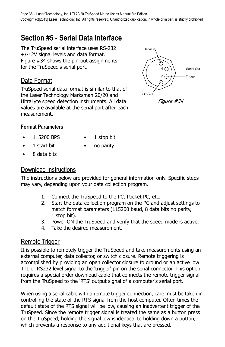## <span id="page-37-0"></span>**Section #5 - Serial Data Interface**

The TruSpeed serial interface uses RS-232 +/-12V signal levels and data format. Figure #34 shows the pin-out assignments for the TruSpeed's serial port.

### Data Format

TruSpeed serial data format is similar to that of the Laser Technology Marksman 20/20 and UltraLyte speed detection instruments. All data values are available at the serial port after each measurement.



Figure #34

### **Format Parameters**

- 115200 BPS 1 stop bit
- 
- 1 start bit no parity • 8 data bits

### Download Instructions

The instructions below are provided for general information only. Specific steps may vary, depending upon your data collection program.

- 1. Connect the TruSpeed to the PC, Pocket PC, etc.
- 2. Start the data collection program on the PC and adjust settings to match format parameters (115200 baud, 8 data bits no parity, 1 stop bit).
- 3. Power ON the TruSpeed and verify that the speed mode is active.
- 4. Take the desired measurement.

### Remote Trigger

It is possible to remotely trigger the TruSpeed and take measurements using an external computer, data collector, or switch closure. Remote triggering is accomplished by providing an open collector closure to ground or an active low TTL or RS232 level signal to the 'trigger' pin on the serial connector. This option requires a special order download cable that connects the remote trigger signal from the TruSpeed to the 'RTS' output signal of a computer's serial port.

When using a serial cable with a remote trigger connection, care must be taken in controlling the state of the RTS signal from the host computer. Often times the default state of the RTS signal will be low, causing an inadvertent trigger of the TruSpeed. Since the remote trigger signal is treated the same as a button press on the TruSpeed, holding the signal low is identical to holding down a button, which prevents a response to any additional keys that are pressed.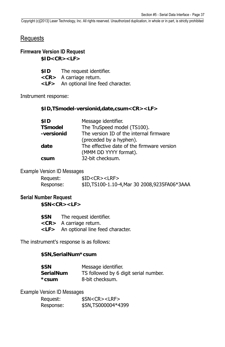### <span id="page-38-6"></span><span id="page-38-5"></span><span id="page-38-0"></span>**Requests**

### **Firmware Version ID Request \$ID<CR><LF>**

| \$ID | The request identifier. |  |
|------|-------------------------|--|
|------|-------------------------|--|

- **<CR>** A carriage return.
- **<LF>** An optional line feed character.

<span id="page-38-1"></span>Instrument response:

**\$ID,TSmodel-versionid,date,csum<CR><LF>**

<span id="page-38-2"></span>

| \$ID       | Message identifier.                        |
|------------|--------------------------------------------|
| TSmodel    | The TruSpeed model (TS100).                |
| -versionid | The version ID of the internal firmware    |
|            | (preceded by a hyphen).                    |
| date       | The effective date of the firmware version |
|            | (MMM DD YYYY format).                      |
| csum       | 32-bit checksum.                           |

#### <span id="page-38-3"></span>Example Version ID Messages

| Request:  | \$ID < CR > < LRF                                 |
|-----------|---------------------------------------------------|
| Response: | \$ID, TS100-1.10-4, Mar 30 2008, 9235 FA06 * 3AAA |

### **Serial Number Request**

**\$SN<CR><LF>**

| \$SN | The request identifier.                    |
|------|--------------------------------------------|
|      | $\langle CR \rangle$ A carriage return.    |
|      | <lf> An optional line feed character.</lf> |

<span id="page-38-4"></span>The instrument's response is as follows:

#### **\$SN,SerialNum\*csum**

| \$SN      | Message identifier.                   |
|-----------|---------------------------------------|
| SerialNum | TS followed by 6 digit serial number. |
| *csum     | 8-bit checksum.                       |

Example Version ID Messages

| Request:  | \$SN < CR > < LRF  |
|-----------|--------------------|
| Response: | \$SN,TS000004*4399 |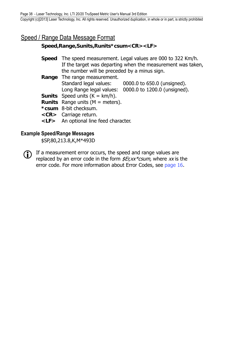### <span id="page-39-5"></span><span id="page-39-1"></span><span id="page-39-0"></span>Speed / Range Data Message Format

### **Speed,Range,Sunits,Runits\*csum<CR><LF>**

- **Speed** The speed measurement. Legal values are 000 to 322 Km/h. If the target was departing when the measurement was taken, the number will be preceded by a minus sign.
- **Range** The range measurement. Standard legal values: 0000.0 to 650.0 (unsigned). Long Range legal values: 0000.0 to 1200.0 (unsigned).
- **Sunits** Speed units  $(K = km/h)$ .
- **Runits** Range units (M = meters).
- **\*csum** 8-bit checksum.
- **<CR>** Carriage return.
- **<LF>** An optional line feed character.

### **Example Speed/Range Messages**

\$SP,80,213.8,K,M\*493D

<span id="page-39-4"></span><span id="page-39-3"></span><span id="page-39-2"></span> If a measurement error occurs, the speed and range values are replaced by an error code in the form  $\frac{E}{x}$  x  $\frac{E}{x}$  where xx is the error code. For more information about Error Codes, see [page 16.](#page-17-3)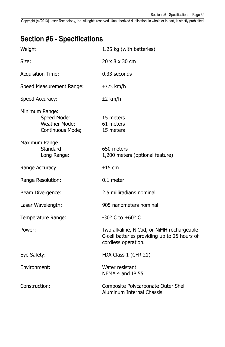## <span id="page-40-2"></span><span id="page-40-0"></span>**Section #6 - Specifications**

<span id="page-40-1"></span>

| Weight:                                                            | 1.25 kg (with batteries)                                                                                         |
|--------------------------------------------------------------------|------------------------------------------------------------------------------------------------------------------|
| Size:                                                              | 20 x 8 x 30 cm                                                                                                   |
| <b>Acquisition Time:</b>                                           | 0.33 seconds                                                                                                     |
| Speed Measurement Range:                                           | $\pm 322$ km/h                                                                                                   |
| Speed Accuracy:                                                    | $\pm 2$ km/h                                                                                                     |
| Minimum Range:<br>Speed Mode:<br>Weather Mode:<br>Continuous Mode; | 15 meters<br>61 meters<br>15 meters                                                                              |
| Maximum Range<br>Standard:<br>Long Range:                          | 650 meters<br>1,200 meters (optional feature)                                                                    |
| Range Accuracy:                                                    | $±15$ cm                                                                                                         |
| Range Resolution:                                                  | $0.1$ meter                                                                                                      |
| Beam Divergence:                                                   | 2.5 milliradians nominal                                                                                         |
| Laser Wavelength:                                                  | 905 nanometers nominal                                                                                           |
| Temperature Range:                                                 | $-30^{\circ}$ C to $+60^{\circ}$ C                                                                               |
| Power:                                                             | Two alkaline, NiCad, or NiMH rechargeable<br>C-cell batteries providing up to 25 hours of<br>cordless operation. |
| Eye Safety:                                                        | FDA Class 1 (CFR 21)                                                                                             |
| Environment:                                                       | Water resistant<br>NEMA 4 and IP 55                                                                              |
| Construction:                                                      | Composite Polycarbonate Outer Shell<br>Aluminum Internal Chassis                                                 |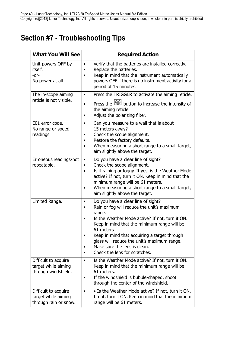## <span id="page-41-1"></span><span id="page-41-0"></span>**Section #7 - Troubleshooting Tips**

| <b>What You Will See</b>                                             | <b>Required Action</b>                                                                                                                                                                                                                                                                                                                                                                                    |
|----------------------------------------------------------------------|-----------------------------------------------------------------------------------------------------------------------------------------------------------------------------------------------------------------------------------------------------------------------------------------------------------------------------------------------------------------------------------------------------------|
| Unit powers OFF by<br>itself.<br>-or-<br>No power at all.            | Verify that the batteries are installed correctly.<br>$\bullet$<br>Replace the batteries.<br>$\bullet$<br>Keep in mind that the instrument automatically<br>$\bullet$<br>powers OFF if there is no instrument activity for a<br>period of 15 minutes.                                                                                                                                                     |
| The in-scope aiming<br>reticle is not visible.                       | Press the TRIGGER to activate the aiming reticle.<br>$\bullet$<br>Press the <b>button</b> to increase the intensity of<br>$\bullet$<br>the aiming reticle.<br>Adjust the polarizing filter.<br>$\bullet$                                                                                                                                                                                                  |
| E01 error code.<br>No range or speed<br>readings.                    | Can you measure to a wall that is about<br>$\bullet$<br>15 meters away?<br>Check the scope alignment.<br>Restore the factory defaults.<br>٠<br>When measuring a short range to a small target,<br>$\bullet$<br>aim slightly above the target.                                                                                                                                                             |
| Erroneous readings/not<br>repeatable.                                | Do you have a clear line of sight?<br>٠<br>Check the scope alignment.<br>$\bullet$<br>Is it raining or foggy. If yes, is the Weather Mode<br>$\bullet$<br>active? If not, turn it ON. Keep in mind that the<br>minimum range will be 61 meters.<br>When measuring a short range to a small target,<br>$\bullet$<br>aim slightly above the target.                                                         |
| Limited Range.                                                       | Do you have a clear line of sight?<br>$\bullet$<br>Rain or fog will reduce the unit's maximum<br>range.<br>Is the Weather Mode active? If not, turn it ON.<br>٠<br>Keep in mind that the minimum range will be<br>61 meters.<br>Keep in mind that acquiring a target through<br>glass will reduce the unit's maximum range.<br>Make sure the lens is clean.<br>Check the lens for scratches.<br>$\bullet$ |
| Difficult to acquire<br>target while aiming<br>through windshield.   | Is the Weather Mode active? If not, turn it ON.<br>$\bullet$<br>Keep in mind that the minimum range will be<br>61 meters.<br>If the windshield is bubble-shaped, shoot<br>$\bullet$<br>through the center of the windshield.                                                                                                                                                                              |
| Difficult to acquire<br>target while aiming<br>through rain or snow. | . Is the Weather Mode active? If not, turn it ON.<br>$\bullet$<br>If not, turn it ON. Keep in mind that the minimum<br>range will be 61 meters.                                                                                                                                                                                                                                                           |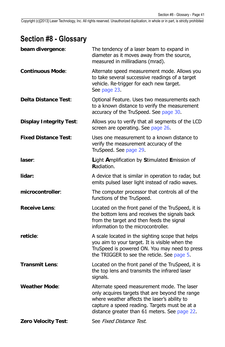## <span id="page-42-1"></span><span id="page-42-0"></span>**Section #8 - Glossary**

| beam divergence:               | The tendency of a laser beam to expand in<br>diameter as it moves away from the source,<br>measured in milliradians (mrad).                                                                                                                      |
|--------------------------------|--------------------------------------------------------------------------------------------------------------------------------------------------------------------------------------------------------------------------------------------------|
| <b>Continuous Mode:</b>        | Alternate speed measurement mode. Allows you<br>to take several successive readings of a target<br>vehicle. Re-trigger for each new target.<br>See page 23.                                                                                      |
| <b>Delta Distance Test:</b>    | Optional Feature. Uses two measurements each<br>to a known distance to verify the measurement<br>accuracy of the TruSpeed. See page 30.                                                                                                          |
| <b>Display Integrity Test:</b> | Allows you to verify that all segments of the LCD<br>screen are operating. See page 26.                                                                                                                                                          |
| <b>Fixed Distance Test:</b>    | Uses one measurement to a known distance to<br>verify the measurement accuracy of the<br>TruSpeed. See page 29.                                                                                                                                  |
| laser:                         | Light Amplification by Stimulated Emission of<br>Radiation.                                                                                                                                                                                      |
| lidar:                         | A device that is similar in operation to radar, but<br>emits pulsed laser light instead of radio waves.                                                                                                                                          |
| microcontroller:               | The computer processor that controls all of the<br>functions of the TruSpeed.                                                                                                                                                                    |
| <b>Receive Lens:</b>           | Located on the front panel of the TruSpeed, it is<br>the bottom lens and receives the signals back<br>from the target and then feeds the signal<br>information to the microcontroller.                                                           |
| reticle:                       | A scale located in the sighting scope that helps<br>you aim to your target. It is visible when the<br>TruSpeed is powered ON. You may need to press<br>the TRIGGER to see the reticle. See page 5.                                               |
| <b>Transmit Lens:</b>          | Located on the front panel of the TruSpeed, it is<br>the top lens and transmits the infrared laser<br>signals.                                                                                                                                   |
| <b>Weather Mode:</b>           | Alternate speed measurement mode. The laser<br>only acquires targets that are beyond the range<br>where weather affects the laser's ability to<br>capture a speed reading. Targets must be at a<br>distance greater than 61 meters. See page 22. |
| <b>Zero Velocity Test:</b>     | See Fixed Distance Test.                                                                                                                                                                                                                         |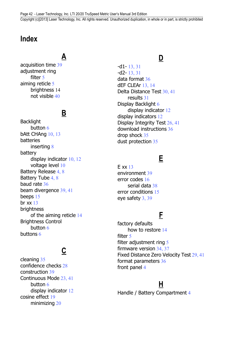Page 42 - Laser Technology, Inc. LTI 20/20 TruSpeed Metric User's Manual 3rd Edition Copyright (c)[2013] Laser Technology, Inc. All rights reserved. Unauthorized duplication, in whole or in part, is strictly prohibited

## <span id="page-43-0"></span>**Index**

## **A**

acquisition time [39](#page-40-2) adjustment ring filter [5](#page-6-4) aiming reticle [5](#page-6-4) brightness [14](#page-15-3) not visible [40](#page-41-1)

## **B**

Backlight button [6](#page-7-1) bAtt CHAng [10](#page-11-2), [13](#page-14-1) batteries inserting [8](#page-9-4) battery display indicator [10,](#page-11-2) [12](#page-13-1) voltage level [10](#page-11-2) Battery Release [4,](#page-5-1) [8](#page-9-4) Battery Tube [4,](#page-5-1) [8](#page-9-4) baud rate [36](#page-37-0) beam divergence [39](#page-40-2), [41](#page-42-1) beeps [15](#page-16-4) br  $xx$  [13](#page-14-1) brightness of the aiming reticle [14](#page-15-3) Brightness Control button [6](#page-7-1) buttons [6](#page-7-1)

## **C**

cleaning [35](#page-36-1) confidence checks [28](#page-29-1) construction [39](#page-40-2) Continuous Mode [23,](#page-24-2) [41](#page-42-1) button [6](#page-7-1) display indicator [12](#page-13-1) cosine effect [19](#page-20-2) minimizing [20](#page-21-0)

### **D**

-d1- [13,](#page-14-1) [31](#page-32-2)  $-d2 - 13, 31$  $-d2 - 13, 31$  $-d2 - 13, 31$ data format [36](#page-37-0) dEF CLEAr [13,](#page-14-1) [14](#page-15-3) Delta Distance Test [30,](#page-31-1) [41](#page-42-1) results [31](#page-32-2) Display Backlight [6](#page-7-1) display indicator [12](#page-13-1) display indicators [12](#page-13-1) Display Integrity Test [26](#page-27-4), [41](#page-42-1) download instructions [36](#page-37-0) drop shock [35](#page-36-1) dust protection [35](#page-36-1)

## **E**

E xx [13](#page-14-1) environment [39](#page-40-2) error codes [16](#page-17-3) serial data [38](#page-39-5) error conditions [15](#page-16-4) eye safety [3,](#page-4-3) [39](#page-40-2)

## **F**

factory defaults how to restore [14](#page-15-3) filter [5](#page-6-4) filter adjustment ring  $5$ firmware version [34,](#page-35-3) [37](#page-38-6) Fixed Distance Zero Velocity Test [29,](#page-30-1) [41](#page-42-1) format parameters [36](#page-37-0) front panel [4](#page-5-1)

### **H**

Handle / Battery Compartment [4](#page-5-1)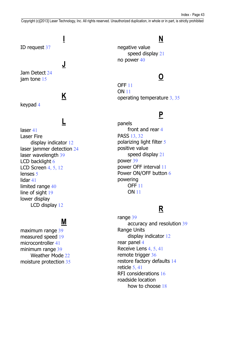# **I**

<span id="page-44-0"></span>ID request [37](#page-38-6)

### **J**

Jam Detect [24](#page-25-2) jam tone [15](#page-16-4)

## **K**

keypad [4](#page-5-1)

## **L**

laser [41](#page-42-1) Laser Fire display indicator [12](#page-13-1) laser jammer detection [24](#page-25-2) laser wavelength [39](#page-40-2) LCD backlight [6](#page-7-1) LCD Screen [4,](#page-5-1) [5](#page-6-4), [12](#page-13-1) lenses [5](#page-6-4) lidar [41](#page-42-1) limited range [40](#page-41-1) line of sight [19](#page-20-2) lower display LCD display [12](#page-13-1)

### **M**

maximum range [39](#page-40-2) measured speed [19](#page-20-2) microcontroller [41](#page-42-1) minimum range [39](#page-40-2) Weather Mode [22](#page-23-2) moisture protection [35](#page-36-1)

## **N**

negative value speed display [21](#page-22-1) no power [40](#page-41-1)

## **O**

OFF [11](#page-12-2) ON [11](#page-12-2) operating temperature [3,](#page-4-3) [35](#page-36-1)

### **P**

panels front and rear [4](#page-5-1) PASS [13,](#page-14-1) [32](#page-33-2) polarizing light filter [5](#page-6-4) positive value speed display [21](#page-22-1) power [39](#page-40-2) power OFF interval [11](#page-12-2) Power ON/OFF button [6](#page-7-1) powering OFF [11](#page-12-2) ON [11](#page-12-2)

## **R**

range [39](#page-40-2) accuracy and resolution [39](#page-40-2) Range Units display indicator [12](#page-13-1) rear panel [4](#page-5-1) Receive Lens [4,](#page-5-1) [5](#page-6-4), [41](#page-42-1) remote trigger [36](#page-37-0) restore factory defaults [14](#page-15-3) reticle [5,](#page-6-4) [41](#page-42-1) RFI considerations [16](#page-17-3) roadside location how to choose 18